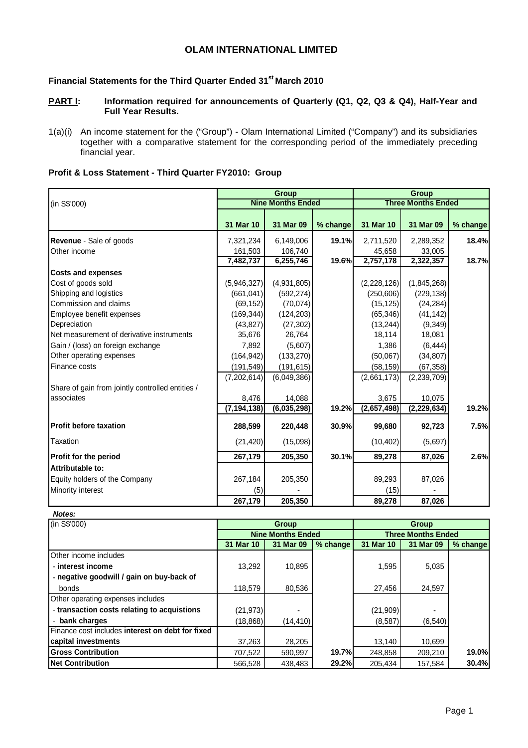# **OLAM INTERNATIONAL LIMITED**

# **Financial Statements for the Third Quarter Ended 31st March 2010**

- **PART I:** Information required for announcements of Quarterly (Q1, Q2, Q3 & Q4), Half-Year and **Full Year Results.**
- 1(a)(i) An income statement for the ("Group") Olam International Limited ("Company") and its subsidiaries together with a comparative statement for the corresponding period of the immediately preceding financial year.

|                                                  |               | Group                    |          | <b>Group</b> |                           |          |  |
|--------------------------------------------------|---------------|--------------------------|----------|--------------|---------------------------|----------|--|
| (in S\$'000)                                     |               | <b>Nine Months Ended</b> |          |              | <b>Three Months Ended</b> |          |  |
|                                                  |               |                          |          |              |                           |          |  |
|                                                  | 31 Mar 10     | 31 Mar 09                | % change | 31 Mar 10    | 31 Mar 09                 | % change |  |
| <b>Revenue</b> - Sale of goods                   | 7,321,234     | 6,149,006                | 19.1%    | 2,711,520    | 2,289,352                 | 18.4%    |  |
| Other income                                     | 161,503       | 106,740                  |          | 45,658       | 33,005                    |          |  |
|                                                  | 7,482,737     | 6,255,746                | 19.6%    | 2,757,178    | 2,322,357                 | 18.7%    |  |
| <b>Costs and expenses</b>                        |               |                          |          |              |                           |          |  |
| Cost of goods sold                               | (5,946,327)   | (4,931,805)              |          | (2,228,126)  | (1,845,268)               |          |  |
| Shipping and logistics                           | (661, 041)    | (592, 274)               |          | (250, 606)   | (229, 138)                |          |  |
| Commission and claims                            | (69, 152)     | (70, 074)                |          | (15, 125)    | (24, 284)                 |          |  |
| Employee benefit expenses                        | (169, 344)    | (124, 203)               |          | (65, 346)    | (41, 142)                 |          |  |
| Depreciation                                     | (43, 827)     | (27, 302)                |          | (13, 244)    | (9, 349)                  |          |  |
| Net measurement of derivative instruments        | 35,676        | 26,764                   |          | 18,114       | 18,081                    |          |  |
| Gain / (loss) on foreign exchange                | 7,892         | (5,607)                  |          | 1,386        | (6, 444)                  |          |  |
| Other operating expenses                         | (164, 942)    | (133, 270)               |          | (50,067)     | (34, 807)                 |          |  |
| Finance costs                                    | (191, 549)    | (191, 615)               |          | (58, 159)    | (67, 358)                 |          |  |
|                                                  | (7,202,614)   | (6,049,386)              |          | (2,661,173)  | (2, 239, 709)             |          |  |
| Share of gain from jointly controlled entities / |               |                          |          |              |                           |          |  |
| lassociates                                      | 8,476         | 14,088                   |          | 3,675        | 10,075                    |          |  |
|                                                  | (7, 194, 138) | (6,035,298)              | 19.2%    | (2,657,498)  | (2, 229, 634)             | 19.2%    |  |
| <b>Profit before taxation</b>                    | 288,599       | 220,448                  | 30.9%    | 99,680       | 92,723                    | 7.5%     |  |
| Taxation                                         | (21, 420)     | (15,098)                 |          | (10, 402)    | (5,697)                   |          |  |
| <b>Profit for the period</b>                     | 267,179       | 205,350                  | 30.1%    | 89,278       | 87,026                    | 2.6%     |  |
| Attributable to:                                 |               |                          |          |              |                           |          |  |
| Equity holders of the Company                    | 267,184       | 205,350                  |          | 89,293       | 87,026                    |          |  |
| Minority interest                                | (5)           |                          |          | (15)         |                           |          |  |
|                                                  | 267,179       | 205,350                  |          | 89,278       | 87,026                    |          |  |

# **Profit & Loss Statement - Third Quarter FY2010: Group**

**Notes:** 

| (in S\$'000)                                     |                          | Group     |          | Group                     |           |          |  |
|--------------------------------------------------|--------------------------|-----------|----------|---------------------------|-----------|----------|--|
|                                                  | <b>Nine Months Ended</b> |           |          | <b>Three Months Ended</b> |           |          |  |
|                                                  | 31 Mar 10                | 31 Mar 09 | % change | 31 Mar 10                 | 31 Mar 09 | % change |  |
| Other income includes                            |                          |           |          |                           |           |          |  |
| - interest income                                | 13.292                   | 10,895    |          | 1.595                     | 5,035     |          |  |
| - negative goodwill / gain on buy-back of        |                          |           |          |                           |           |          |  |
| bonds                                            | 118,579                  | 80,536    |          | 27,456                    | 24,597    |          |  |
| Other operating expenses includes                |                          |           |          |                           |           |          |  |
| - transaction costs relating to acquistions      | (21, 973)                |           |          | (21, 909)                 |           |          |  |
| - bank charges                                   | (18,868)                 | (14, 410) |          | (8,587)                   | (6, 540)  |          |  |
| Finance cost includes interest on debt for fixed |                          |           |          |                           |           |          |  |
| capital investments                              | 37,263                   | 28,205    |          | 13,140                    | 10,699    |          |  |
| <b>Gross Contribution</b>                        | 707,522                  | 590,997   | 19.7%    | 248,858                   | 209,210   | 19.0%    |  |
| <b>Net Contribution</b>                          | 566,528                  | 438,483   | 29.2%    | 205.434                   | 157,584   | 30.4%    |  |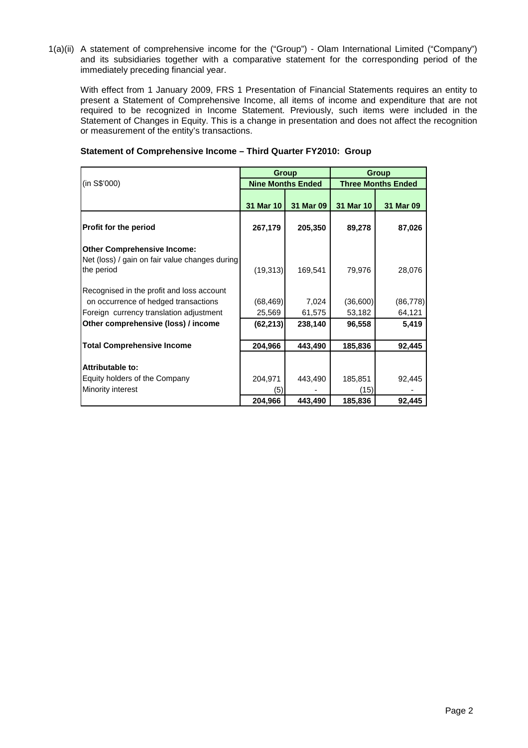1(a)(ii) A statement of comprehensive income for the ("Group") - Olam International Limited ("Company") and its subsidiaries together with a comparative statement for the corresponding period of the immediately preceding financial year.

With effect from 1 January 2009, FRS 1 Presentation of Financial Statements requires an entity to present a Statement of Comprehensive Income, all items of income and expenditure that are not required to be recognized in Income Statement. Previously, such items were included in the Statement of Changes in Equity. This is a change in presentation and does not affect the recognition or measurement of the entity's transactions.

|                                                                                                    |           | <b>Group</b>             | Group                     |                 |  |  |
|----------------------------------------------------------------------------------------------------|-----------|--------------------------|---------------------------|-----------------|--|--|
| (in S\$'000)                                                                                       |           | <b>Nine Months Ended</b> | <b>Three Months Ended</b> |                 |  |  |
|                                                                                                    | 31 Mar 10 | 31 Mar 09                | 31 Mar 10                 | 31 Mar 09       |  |  |
| Profit for the period                                                                              | 267,179   | 205,350                  | 89,278                    | 87,026          |  |  |
| <b>Other Comprehensive Income:</b><br>Net (loss) / gain on fair value changes during<br>the period | (19, 313) | 169,541                  | 79,976                    | 28,076          |  |  |
| Recognised in the profit and loss account<br>on occurrence of hedged transactions                  | (68, 469) | 7,024                    | (36,600)                  | (86, 778)       |  |  |
| Foreign currency translation adjustment<br>Other comprehensive (loss) / income                     | 25,569    | 61,575<br>238,140        | 53,182                    | 64,121<br>5,419 |  |  |
|                                                                                                    | (62, 213) |                          | 96,558                    |                 |  |  |
| <b>Total Comprehensive Income</b>                                                                  | 204,966   | 443,490                  | 185,836                   | 92,445          |  |  |
| Attributable to:                                                                                   |           |                          |                           |                 |  |  |
| Equity holders of the Company                                                                      | 204,971   | 443,490                  | 185,851                   | 92,445          |  |  |
| Minority interest                                                                                  | (5)       |                          | (15)                      |                 |  |  |
|                                                                                                    | 204,966   | 443,490                  | 185,836                   | 92,445          |  |  |

### **Statement of Comprehensive Income – Third Quarter FY2010: Group**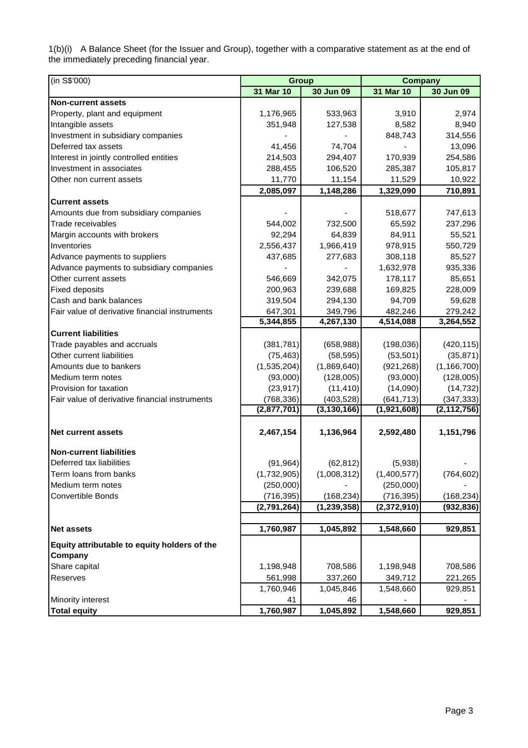1(b)(i) A Balance Sheet (for the Issuer and Group), together with a comparative statement as at the end of the immediately preceding financial year.

| (in S\$'000)                                   | <b>Group</b> |               | <b>Company</b> |               |  |  |
|------------------------------------------------|--------------|---------------|----------------|---------------|--|--|
|                                                | 31 Mar 10    | 30 Jun 09     | 31 Mar 10      | 30 Jun 09     |  |  |
| <b>Non-current assets</b>                      |              |               |                |               |  |  |
| Property, plant and equipment                  | 1,176,965    | 533,963       | 3,910          | 2,974         |  |  |
| Intangible assets                              | 351,948      | 127,538       | 8,582          | 8,940         |  |  |
| Investment in subsidiary companies             |              |               | 848,743        | 314,556       |  |  |
| Deferred tax assets                            | 41,456       | 74,704        |                | 13,096        |  |  |
| Interest in jointly controlled entities        | 214,503      | 294,407       | 170,939        | 254,586       |  |  |
| Investment in associates                       | 288,455      | 106,520       | 285,387        | 105,817       |  |  |
| Other non current assets                       | 11,770       | 11,154        | 11,529         | 10,922        |  |  |
|                                                | 2,085,097    | 1,148,286     | 1,329,090      | 710,891       |  |  |
| Current assets                                 |              |               |                |               |  |  |
| Amounts due from subsidiary companies          |              |               | 518,677        | 747,613       |  |  |
| Trade receivables                              | 544,002      | 732,500       | 65,592         | 237,296       |  |  |
| Margin accounts with brokers                   | 92,294       | 64,839        | 84,911         | 55,521        |  |  |
| Inventories                                    | 2,556,437    | 1,966,419     | 978,915        | 550,729       |  |  |
| Advance payments to suppliers                  | 437,685      | 277,683       | 308,118        | 85,527        |  |  |
| Advance payments to subsidiary companies       |              |               | 1,632,978      | 935,336       |  |  |
| Other current assets                           | 546,669      | 342,075       | 178,117        | 85,651        |  |  |
| <b>Fixed deposits</b>                          | 200,963      | 239,688       | 169,825        | 228,009       |  |  |
| Cash and bank balances                         | 319,504      | 294,130       | 94,709         | 59,628        |  |  |
| Fair value of derivative financial instruments | 647,301      | 349,796       | 482,246        | 279,242       |  |  |
|                                                | 5,344,855    | 4,267,130     | 4,514,088      | 3,264,552     |  |  |
| <b>Current liabilities</b>                     |              |               |                |               |  |  |
| Trade payables and accruals                    | (381, 781)   | (658, 988)    | (198, 036)     | (420, 115)    |  |  |
| Other current liabilities                      | (75, 463)    | (58, 595)     | (53, 501)      | (35, 871)     |  |  |
| Amounts due to bankers                         | (1,535,204)  | (1,869,640)   | (921, 268)     | (1, 166, 700) |  |  |
| Medium term notes                              | (93,000)     | (128,005)     | (93,000)       | (128,005)     |  |  |
| Provision for taxation                         | (23, 917)    | (11, 410)     | (14,090)       | (14, 732)     |  |  |
| Fair value of derivative financial instruments | (768, 336)   | (403, 528)    | (641, 713)     | (347, 333)    |  |  |
|                                                | (2,877,701)  | (3, 130, 166) | (1,921,608)    | (2, 112, 756) |  |  |
|                                                |              |               |                |               |  |  |
| <b>Net current assets</b>                      | 2,467,154    | 1,136,964     | 2,592,480      | 1,151,796     |  |  |
|                                                |              |               |                |               |  |  |
| <b>Non-current liabilities</b>                 |              |               |                |               |  |  |
| Deferred tax liabilities                       | (91, 964)    | (62, 812)     | (5,938)        |               |  |  |
| Term loans from banks                          | (1,732,905)  | (1,008,312)   | (1,400,577)    | (764, 602)    |  |  |
| Medium term notes                              | (250,000)    |               | (250,000)      |               |  |  |
| Convertible Bonds                              | (716, 395)   | (168, 234)    | (716, 395)     | (168, 234)    |  |  |
|                                                | (2,791,264)  | (1, 239, 358) | (2,372,910)    | (932, 836)    |  |  |
|                                                |              |               |                |               |  |  |
| <b>Net assets</b>                              | 1,760,987    | 1,045,892     | 1,548,660      | 929,851       |  |  |
| Equity attributable to equity holders of the   |              |               |                |               |  |  |
| Company                                        |              |               |                |               |  |  |
| Share capital                                  | 1,198,948    | 708,586       | 1,198,948      | 708,586       |  |  |
| Reserves                                       | 561,998      | 337,260       | 349,712        | 221,265       |  |  |
|                                                | 1,760,946    | 1,045,846     | 1,548,660      | 929,851       |  |  |
| Minority interest                              | 41           | 46            |                |               |  |  |
| <b>Total equity</b>                            | 1,760,987    | 1,045,892     | 1,548,660      | 929,851       |  |  |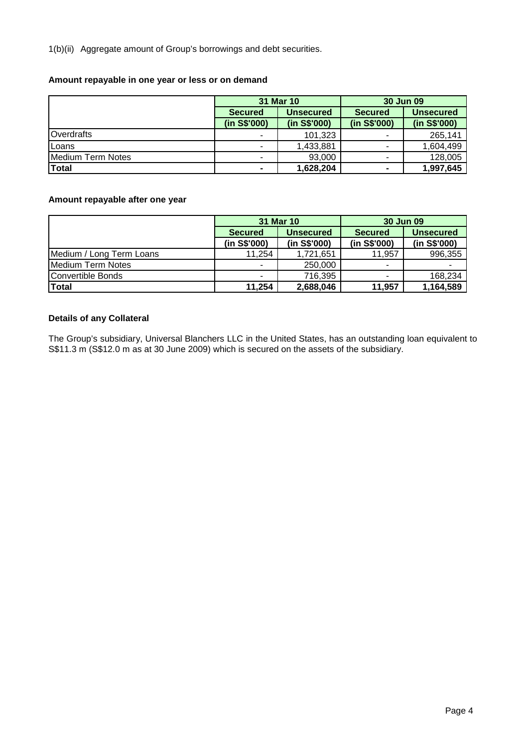1(b)(ii) Aggregate amount of Group's borrowings and debt securities.

### **Amount repayable in one year or less or on demand**

|                   |                | 31 Mar 10        | 30 Jun 09      |                  |  |
|-------------------|----------------|------------------|----------------|------------------|--|
|                   | <b>Secured</b> | <b>Unsecured</b> | <b>Secured</b> | <b>Unsecured</b> |  |
|                   | (in S\$'000)   | (in S\$'000)     | (in S\$'000)   | (in S\$'000)     |  |
| Overdrafts        |                | 101,323          | ٠              | 265,141          |  |
| Loans             |                | 1,433,881        | ٠              | 1,604,499        |  |
| Medium Term Notes |                | 93,000           | ٠              | 128,005          |  |
| <b>Total</b>      | $\blacksquare$ | 1,628,204        | $\blacksquare$ | 1,997,645        |  |

# **Amount repayable after one year**

|                          |                | 31 Mar 10        | 30 Jun 09      |                  |  |  |
|--------------------------|----------------|------------------|----------------|------------------|--|--|
|                          | <b>Secured</b> | <b>Unsecured</b> | <b>Secured</b> | <b>Unsecured</b> |  |  |
|                          | (in S\$'000)   | (in S\$'000)     | (in S\$'000)   | (in S\$'000)     |  |  |
| Medium / Long Term Loans | 11,254         | 1,721,651        | 11,957         | 996,355          |  |  |
| Medium Term Notes        |                | 250,000          | ٠              |                  |  |  |
| Convertible Bonds        |                | 716,395          | ۰              | 168,234          |  |  |
| <b>Total</b>             | 11,254         | 2,688,046        | 11,957         | 1,164,589        |  |  |

# **Details of any Collateral**

The Group's subsidiary, Universal Blanchers LLC in the United States, has an outstanding loan equivalent to S\$11.3 m (S\$12.0 m as at 30 June 2009) which is secured on the assets of the subsidiary.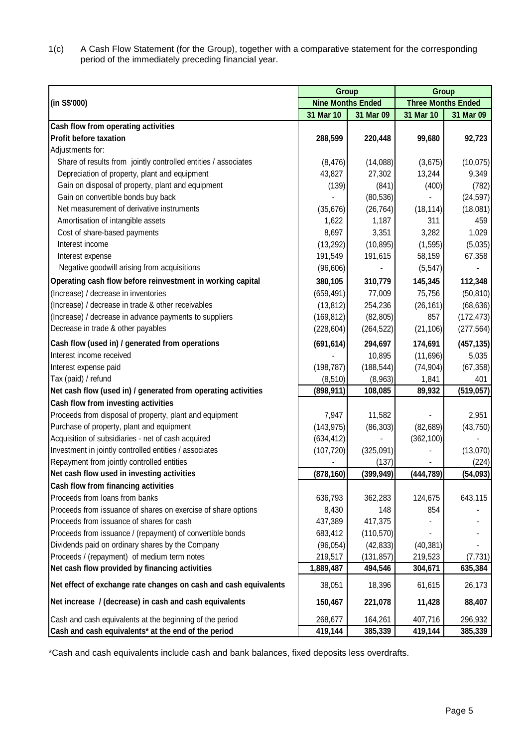1(c) A Cash Flow Statement (for the Group), together with a comparative statement for the corresponding period of the immediately preceding financial year.

|                                                                  | Group                    |            | Group                     |            |  |
|------------------------------------------------------------------|--------------------------|------------|---------------------------|------------|--|
| (in S\$'000)                                                     | <b>Nine Months Ended</b> |            | <b>Three Months Ended</b> |            |  |
|                                                                  | 31 Mar 10                | 31 Mar 09  | 31 Mar 10                 | 31 Mar 09  |  |
| Cash flow from operating activities                              |                          |            |                           |            |  |
| <b>Profit before taxation</b>                                    | 288,599                  | 220,448    | 99,680                    | 92,723     |  |
| Adjustments for:                                                 |                          |            |                           |            |  |
| Share of results from jointly controlled entities / associates   | (8, 476)                 | (14,088)   | (3,675)                   | (10, 075)  |  |
| Depreciation of property, plant and equipment                    | 43,827                   | 27,302     | 13,244                    | 9,349      |  |
| Gain on disposal of property, plant and equipment                | (139)                    | (841)      | (400)                     | (782)      |  |
| Gain on convertible bonds buy back                               |                          | (80, 536)  |                           | (24, 597)  |  |
| Net measurement of derivative instruments                        | (35, 676)                | (26, 764)  | (18, 114)                 | (18,081)   |  |
| Amortisation of intangible assets                                | 1,622                    | 1,187      | 311                       | 459        |  |
| Cost of share-based payments                                     | 8,697                    | 3,351      | 3,282                     | 1,029      |  |
| Interest income                                                  | (13, 292)                | (10, 895)  | (1, 595)                  | (5,035)    |  |
| Interest expense                                                 | 191,549                  | 191,615    | 58,159                    | 67,358     |  |
| Negative goodwill arising from acquisitions                      | (96, 606)                |            | (5, 547)                  |            |  |
| Operating cash flow before reinvestment in working capital       | 380,105                  | 310,779    | 145,345                   | 112,348    |  |
| (Increase) / decrease in inventories                             | (659, 491)               | 77,009     | 75,756                    | (50, 810)  |  |
| (Increase) / decrease in trade & other receivables               | (13, 812)                | 254,236    | (26, 161)                 | (68, 636)  |  |
| (Increase) / decrease in advance payments to suppliers           | (169, 812)               | (82, 805)  | 857                       | (172, 473) |  |
| Decrease in trade & other payables                               | (228, 604)               | (264, 522) | (21, 106)                 | (277, 564) |  |
| Cash flow (used in) / generated from operations                  | (691, 614)               | 294,697    | 174,691                   | (457, 135) |  |
| Interest income received                                         |                          | 10,895     | (11,696)                  | 5,035      |  |
| Interest expense paid                                            | (198, 787)               | (188, 544) | (74, 904)                 | (67, 358)  |  |
| Tax (paid) / refund                                              | (8, 510)                 | (8,963)    | 1,841                     | 401        |  |
| Net cash flow (used in) / generated from operating activities    | (898, 911)               | 108,085    | 89,932                    | (519, 057) |  |
| Cash flow from investing activities                              |                          |            |                           |            |  |
| Proceeds from disposal of property, plant and equipment          | 7,947                    | 11,582     |                           | 2,951      |  |
| Purchase of property, plant and equipment                        | (143, 975)               | (86, 303)  | (82, 689)                 | (43, 750)  |  |
| Acquisition of subsidiaries - net of cash acquired               | (634, 412)               |            | (362, 100)                |            |  |
| Investment in jointly controlled entities / associates           | (107, 720)               | (325,091)  |                           | (13,070)   |  |
| Repayment from jointly controlled entities                       |                          | (137)      |                           | (224)      |  |
| Net cash flow used in investing activities                       | (878, 160)               | (399, 949) | (444, 789)                | (54,093)   |  |
| Cash flow from financing activities                              |                          |            |                           |            |  |
| Proceeds from loans from banks                                   | 636,793                  | 362,283    | 124,675                   | 643,115    |  |
| Proceeds from issuance of shares on exercise of share options    | 8,430                    | 148        | 854                       |            |  |
| Proceeds from issuance of shares for cash                        | 437,389                  | 417,375    |                           |            |  |
| Proceeds from issuance / (repayment) of convertible bonds        | 683,412                  | (110, 570) |                           |            |  |
| Dividends paid on ordinary shares by the Company                 | (96, 054)                | (42, 833)  | (40, 381)                 |            |  |
| Proceeds / (repayment) of medium term notes                      | 219,517                  | (131, 857) | 219,523                   | (7, 731)   |  |
| Net cash flow provided by financing activities                   | 1,889,487                | 494,546    | 304,671                   | 635,384    |  |
| Net effect of exchange rate changes on cash and cash equivalents | 38,051                   | 18,396     | 61,615                    | 26,173     |  |
| Net increase / (decrease) in cash and cash equivalents           | 150,467                  | 221,078    | 11,428                    | 88,407     |  |
| Cash and cash equivalents at the beginning of the period         | 268,677                  | 164,261    | 407,716                   | 296,932    |  |
| Cash and cash equivalents* at the end of the period              | 419,144                  | 385,339    | 419,144                   | 385,339    |  |

\*Cash and cash equivalents include cash and bank balances, fixed deposits less overdrafts.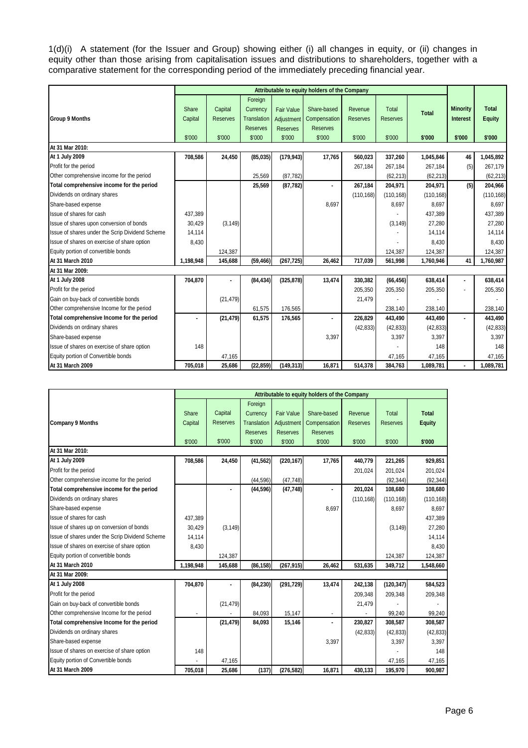1(d)(i) A statement (for the Issuer and Group) showing either (i) all changes in equity, or (ii) changes in equity other than those arising from capitalisation issues and distributions to shareholders, together with a comparative statement for the corresponding period of the immediately preceding financial year.

|                                                 |           | Attributable to equity holders of the Company |                 |                   |                 |                 |                 |              |                 |               |
|-------------------------------------------------|-----------|-----------------------------------------------|-----------------|-------------------|-----------------|-----------------|-----------------|--------------|-----------------|---------------|
|                                                 |           |                                               | Foreign         |                   |                 |                 |                 |              |                 |               |
|                                                 | Share     | Capital                                       | Currency        | <b>Fair Value</b> | Share-based     | Revenue         | Total           | <b>Total</b> | <b>Minority</b> | <b>Total</b>  |
| <b>Group 9 Months</b>                           | Capital   | <b>Reserves</b>                               | Translation     | Adjustment        | Compensation    | <b>Reserves</b> | <b>Reserves</b> |              | <b>Interest</b> | <b>Equity</b> |
|                                                 |           |                                               | <b>Reserves</b> | <b>Reserves</b>   | <b>Reserves</b> |                 |                 |              |                 |               |
|                                                 | \$'000    | \$'000                                        | \$'000          | \$'000            | \$'000          | \$'000          | \$'000          | \$'000       | \$'000          | \$'000        |
| At 31 Mar 2010:                                 |           |                                               |                 |                   |                 |                 |                 |              |                 |               |
| At 1 July 2009                                  | 708,586   | 24,450                                        | (85,035)        | (179, 943)        | 17,765          | 560,023         | 337,260         | 1,045,846    | 46              | 1,045,892     |
| Profit for the period                           |           |                                               |                 |                   |                 | 267,184         | 267,184         | 267,184      | (5)             | 267,179       |
| Other comprehensive income for the period       |           |                                               | 25,569          | (87, 782)         |                 |                 | (62, 213)       | (62, 213)    |                 | (62, 213)     |
| Total comprehensive income for the period       |           |                                               | 25,569          | (87, 782)         | $\blacksquare$  | 267,184         | 204,971         | 204,971      | (5)             | 204,966       |
| Dividends on ordinary shares                    |           |                                               |                 |                   |                 | (110, 168)      | (110, 168)      | (110, 168)   |                 | (110, 168)    |
| Share-based expense                             |           |                                               |                 |                   | 8,697           |                 | 8,697           | 8,697        |                 | 8,697         |
| Issue of shares for cash                        | 437,389   |                                               |                 |                   |                 |                 |                 | 437,389      |                 | 437.389       |
| Issue of shares upon conversion of bonds        | 30,429    | (3, 149)                                      |                 |                   |                 |                 | (3, 149)        | 27,280       |                 | 27,280        |
| Issue of shares under the Scrip Dividend Scheme | 14,114    |                                               |                 |                   |                 |                 |                 | 14,114       |                 | 14,114        |
| Issue of shares on exercise of share option     | 8,430     |                                               |                 |                   |                 |                 |                 | 8,430        |                 | 8,430         |
| Equity portion of convertible bonds             |           | 124,387                                       |                 |                   |                 |                 | 124.387         | 124,387      |                 | 124,387       |
| At 31 March 2010                                | 1,198,948 | 145,688                                       | (59, 466)       | (267, 725)        | 26,462          | 717,039         | 561,998         | 1,760,946    | 41              | 1,760,987     |
| At 31 Mar 2009:                                 |           |                                               |                 |                   |                 |                 |                 |              |                 |               |
| At 1 July 2008                                  | 704,870   |                                               | (84, 434)       | (325, 878)        | 13,474          | 330,382         | (66, 456)       | 638,414      | ٠               | 638,414       |
| Profit for the period                           |           |                                               |                 |                   |                 | 205,350         | 205,350         | 205,350      |                 | 205,350       |
| Gain on buy-back of convertible bonds           |           | (21, 479)                                     |                 |                   |                 | 21,479          |                 |              |                 |               |
| Other comprehensive Income for the period       |           |                                               | 61,575          | 176,565           |                 |                 | 238,140         | 238,140      |                 | 238,140       |
| Total comprehensive Income for the period       |           | (21, 479)                                     | 61,575          | 176,565           | $\blacksquare$  | 226,829         | 443,490         | 443,490      | ۰               | 443,490       |
| Dividends on ordinary shares                    |           |                                               |                 |                   |                 | (42, 833)       | (42, 833)       | (42, 833)    |                 | (42, 833)     |
| Share-based expense                             |           |                                               |                 |                   | 3,397           |                 | 3,397           | 3,397        |                 | 3,397         |
| Issue of shares on exercise of share option     | 148       |                                               |                 |                   |                 |                 |                 | 148          |                 | 148           |
| Equity portion of Convertible bonds             |           | 47,165                                        |                 |                   |                 |                 | 47,165          | 47,165       |                 | 47,165        |
| At 31 March 2009                                | 705,018   | 25.686                                        | (22, 859)       | (149, 313)        | 16,871          | 514,378         | 384,763         | 1,089,781    |                 | 1,089,781     |

|                                                 |           |                 |                 |                   | Attributable to equity holders of the Company |                 |                 |               |
|-------------------------------------------------|-----------|-----------------|-----------------|-------------------|-----------------------------------------------|-----------------|-----------------|---------------|
|                                                 |           |                 | Foreign         |                   |                                               |                 |                 |               |
|                                                 | Share     | Capital         | Currency        | <b>Fair Value</b> | Share-based                                   | Revenue         | Total           | <b>Total</b>  |
| <b>Company 9 Months</b>                         | Capital   | <b>Reserves</b> | Translation     | Adjustment        | Compensation                                  | <b>Reserves</b> | <b>Reserves</b> | <b>Equity</b> |
|                                                 |           |                 | <b>Reserves</b> | <b>Reserves</b>   | <b>Reserves</b>                               |                 |                 |               |
|                                                 | \$'000    | \$'000          | \$'000          | \$'000            | \$'000                                        | \$'000          | \$'000          | \$'000        |
| At 31 Mar 2010:                                 |           |                 |                 |                   |                                               |                 |                 |               |
| At 1 July 2009                                  | 708,586   | 24,450          | (41, 562)       | (220, 167)        | 17,765                                        | 440,779         | 221,265         | 929,851       |
| Profit for the period                           |           |                 |                 |                   |                                               | 201,024         | 201,024         | 201,024       |
| Other comprehensive income for the period       |           |                 | (44, 596)       | (47, 748)         |                                               |                 | (92, 344)       | (92, 344)     |
| Total comprehensive income for the period       |           | $\blacksquare$  | (44, 596)       | (47, 748)         | $\blacksquare$                                | 201,024         | 108,680         | 108,680       |
| Dividends on ordinary shares                    |           |                 |                 |                   |                                               | (110, 168)      | (110, 168)      | (110, 168)    |
| Share-based expense                             |           |                 |                 |                   | 8,697                                         |                 | 8,697           | 8,697         |
| Issue of shares for cash                        | 437.389   |                 |                 |                   |                                               |                 |                 | 437,389       |
| Issue of shares up on conversion of bonds       | 30.429    | (3, 149)        |                 |                   |                                               |                 | (3, 149)        | 27,280        |
| Issue of shares under the Scrip Dividend Scheme | 14,114    |                 |                 |                   |                                               |                 |                 | 14,114        |
| Issue of shares on exercise of share option     | 8,430     |                 |                 |                   |                                               |                 |                 | 8,430         |
| Equity portion of convertible bonds             |           | 124,387         |                 |                   |                                               |                 | 124,387         | 124,387       |
| At 31 March 2010                                | 1.198.948 | 145.688         | (86, 158)       | (267, 915)        | 26.462                                        | 531.635         | 349,712         | 1,548,660     |
| At 31 Mar 2009:                                 |           |                 |                 |                   |                                               |                 |                 |               |
| At 1 July 2008                                  | 704,870   |                 | (84, 230)       | (291, 729)        | 13,474                                        | 242,138         | (120, 347)      | 584,523       |
| Profit for the period                           |           |                 |                 |                   |                                               | 209,348         | 209,348         | 209,348       |
| Gain on buy-back of convertible bonds           |           | (21, 479)       |                 |                   |                                               | 21,479          |                 |               |
| Other comprehensive Income for the period       |           |                 | 84.093          | 15,147            |                                               |                 | 99,240          | 99,240        |
| Total comprehensive Income for the period       |           | (21, 479)       | 84,093          | 15,146            | $\overline{a}$                                | 230,827         | 308,587         | 308,587       |
| Dividends on ordinary shares                    |           |                 |                 |                   |                                               | (42, 833)       | (42, 833)       | (42, 833)     |
| Share-based expense                             |           |                 |                 |                   | 3,397                                         |                 | 3,397           | 3,397         |
| Issue of shares on exercise of share option     | 148       |                 |                 |                   |                                               |                 |                 | 148           |
| Equity portion of Convertible bonds             |           | 47,165          |                 |                   |                                               |                 | 47,165          | 47,165        |
| At 31 March 2009                                | 705,018   | 25,686          | (137)           | (276, 582)        | 16,871                                        | 430,133         | 195,970         | 900,987       |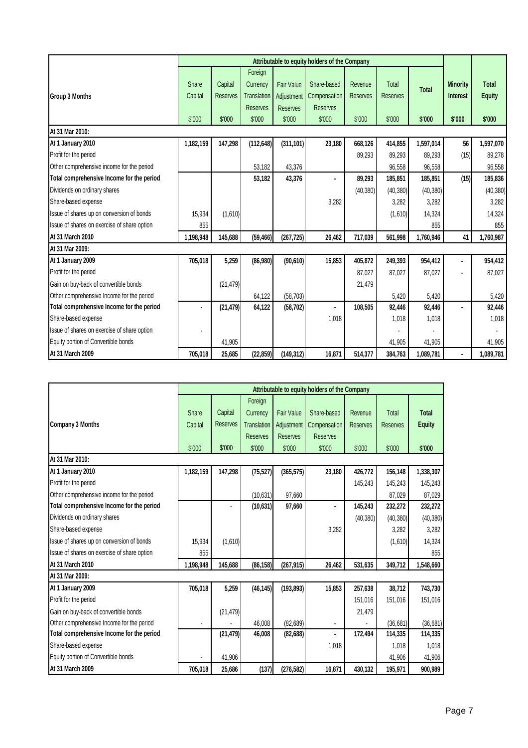|                                             |           | Attributable to equity holders of the Company |                    |                   |                 |                 |                 |              |                 |               |
|---------------------------------------------|-----------|-----------------------------------------------|--------------------|-------------------|-----------------|-----------------|-----------------|--------------|-----------------|---------------|
|                                             |           |                                               | Foreign            |                   |                 |                 |                 |              |                 |               |
|                                             | Share     | Capital                                       | Currency           | <b>Fair Value</b> | Share-based     | Revenue         | Total           | <b>Total</b> | <b>Minority</b> | <b>Total</b>  |
| Group 3 Months                              | Capital   | <b>Reserves</b>                               | <b>Translation</b> | Adjustment        | Compensation    | <b>Reserves</b> | <b>Reserves</b> |              | <b>Interest</b> | <b>Equity</b> |
|                                             |           |                                               | <b>Reserves</b>    | <b>Reserves</b>   | <b>Reserves</b> |                 |                 |              |                 |               |
|                                             | \$'000    | \$'000                                        | \$'000             | \$'000            | \$'000          | \$'000          | \$'000          | \$'000       | \$'000          | \$'000        |
| At 31 Mar 2010:                             |           |                                               |                    |                   |                 |                 |                 |              |                 |               |
| At 1 January 2010                           | 1,182,159 | 147,298                                       | (112, 648)         | (311, 101)        | 23,180          | 668,126         | 414,855         | 1,597,014    | 56              | 1,597,070     |
| Profit for the period                       |           |                                               |                    |                   |                 | 89,293          | 89,293          | 89,293       | (15)            | 89,278        |
| Other comprehensive income for the period   |           |                                               | 53.182             | 43.376            |                 |                 | 96,558          | 96,558       |                 | 96,558        |
| Total comprehensive Income for the period   |           |                                               | 53,182             | 43,376            |                 | 89,293          | 185,851         | 185,851      | (15)            | 185,836       |
| Dividends on ordinary shares                |           |                                               |                    |                   |                 | (40, 380)       | (40, 380)       | (40, 380)    |                 | (40, 380)     |
| Share-based expense                         |           |                                               |                    |                   | 3,282           |                 | 3,282           | 3,282        |                 | 3,282         |
| Issue of shares up on conversion of bonds   | 15,934    | (1,610)                                       |                    |                   |                 |                 | (1,610)         | 14,324       |                 | 14,324        |
| Issue of shares on exercise of share option | 855       |                                               |                    |                   |                 |                 |                 | 855          |                 | 855           |
| At 31 March 2010                            | 1,198,948 | 145,688                                       | (59, 466)          | (267, 725)        | 26,462          | 717,039         | 561,998         | 1,760,946    | 41              | 1,760,987     |
| At 31 Mar 2009:                             |           |                                               |                    |                   |                 |                 |                 |              |                 |               |
| At 1 January 2009                           | 705,018   | 5,259                                         | (86,980)           | (90, 610)         | 15,853          | 405,872         | 249,393         | 954,412      |                 | 954,412       |
| Profit for the period                       |           |                                               |                    |                   |                 | 87,027          | 87,027          | 87,027       |                 | 87,027        |
| Gain on buy-back of convertible bonds       |           | (21, 479)                                     |                    |                   |                 | 21,479          |                 |              |                 |               |
| Other comprehensive Income for the period   |           |                                               | 64,122             | (58, 703)         |                 |                 | 5,420           | 5,420        |                 | 5,420         |
| Total comprehensive Income for the period   |           | (21, 479)                                     | 64,122             | (58, 702)         | ٠.              | 108,505         | 92,446          | 92,446       |                 | 92,446        |
| Share-based expense                         |           |                                               |                    |                   | 1,018           |                 | 1,018           | 1,018        |                 | 1,018         |
| Issue of shares on exercise of share option |           |                                               |                    |                   |                 |                 |                 |              |                 |               |
| Equity portion of Convertible bonds         |           | 41,905                                        |                    |                   |                 |                 | 41,905          | 41,905       |                 | 41,905        |
| At 31 March 2009                            | 705,018   | 25,685                                        | (22, 859)          | (149, 312)        | 16,871          | 514,377         | 384,763         | 1,089,781    |                 | 1,089,781     |

|                                             |           |                 |                    |                   | Attributable to equity holders of the Company |                 |                 |               |
|---------------------------------------------|-----------|-----------------|--------------------|-------------------|-----------------------------------------------|-----------------|-----------------|---------------|
|                                             |           |                 | Foreign            |                   |                                               |                 |                 |               |
|                                             | Share     | Capital         | Currency           | <b>Fair Value</b> | Share-based                                   | Revenue         | Total           | <b>Total</b>  |
| <b>Company 3 Months</b>                     | Capital   | <b>Reserves</b> | <b>Translation</b> | Adjustment        | Compensation                                  | <b>Reserves</b> | <b>Reserves</b> | <b>Equity</b> |
|                                             |           |                 | <b>Reserves</b>    | <b>Reserves</b>   | <b>Reserves</b>                               |                 |                 |               |
|                                             | \$'000    | \$'000          | \$'000             | \$'000            | \$'000                                        | \$'000          | \$'000          | \$'000        |
| At 31 Mar 2010:                             |           |                 |                    |                   |                                               |                 |                 |               |
| At 1 January 2010                           | 1,182,159 | 147,298         | (75, 527)          | (365, 575)        | 23,180                                        | 426,772         | 156,148         | 1,338,307     |
| Profit for the period                       |           |                 |                    |                   |                                               | 145,243         | 145,243         | 145,243       |
| Other comprehensive income for the period   |           |                 | (10, 631)          | 97,660            |                                               |                 | 87,029          | 87,029        |
| Total comprehensive Income for the period   |           |                 | (10, 631)          | 97,660            | $\blacksquare$                                | 145,243         | 232,272         | 232,272       |
| Dividends on ordinary shares                |           |                 |                    |                   |                                               | (40, 380)       | (40, 380)       | (40, 380)     |
| Share-based expense                         |           |                 |                    |                   | 3,282                                         |                 | 3,282           | 3,282         |
| Issue of shares up on conversion of bonds   | 15.934    | (1,610)         |                    |                   |                                               |                 | (1,610)         | 14,324        |
| Issue of shares on exercise of share option | 855       |                 |                    |                   |                                               |                 |                 | 855           |
| At 31 March 2010                            | 1,198,948 | 145,688         | (86, 158)          | (267, 915)        | 26,462                                        | 531,635         | 349,712         | 1,548,660     |
| At 31 Mar 2009:                             |           |                 |                    |                   |                                               |                 |                 |               |
| At 1 January 2009                           | 705,018   | 5,259           | (46, 145)          | (193, 893)        | 15,853                                        | 257,638         | 38,712          | 743,730       |
| Profit for the period                       |           |                 |                    |                   |                                               | 151,016         | 151,016         | 151,016       |
| Gain on buy-back of convertible bonds       |           | (21, 479)       |                    |                   |                                               | 21,479          |                 |               |
| Other comprehensive Income for the period   |           |                 | 46.008             | (82, 689)         |                                               |                 | (36, 681)       | (36, 681)     |
| Total comprehensive Income for the period   |           | (21, 479)       | 46,008             | (82, 688)         |                                               | 172,494         | 114,335         | 114,335       |
| Share-based expense                         |           |                 |                    |                   | 1,018                                         |                 | 1,018           | 1,018         |
| Equity portion of Convertible bonds         |           | 41,906          |                    |                   |                                               |                 | 41,906          | 41,906        |
| At 31 March 2009                            | 705.018   | 25.686          | (137)              | (276, 582)        | 16,871                                        | 430,132         | 195.971         | 900,989       |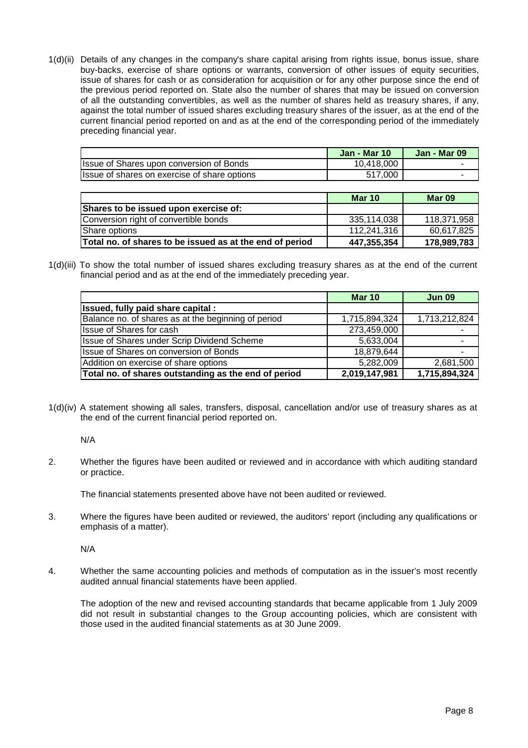1(d)(ii) Details of any changes in the company's share capital arising from rights issue, bonus issue, share buy-backs, exercise of share options or warrants, conversion of other issues of equity securities, issue of shares for cash or as consideration for acquisition or for any other purpose since the end of the previous period reported on. State also the number of shares that may be issued on conversion of all the outstanding convertibles, as well as the number of shares held as treasury shares, if any, against the total number of issued shares excluding treasury shares of the issuer, as at the end of the current financial period reported on and as at the end of the corresponding period of the immediately preceding financial year.

|                                              | <b>Jan - Mar 10</b> | Jan - Mar 09 |
|----------------------------------------------|---------------------|--------------|
| Issue of Shares upon conversion of Bonds     | 10.418.000          |              |
| Issue of shares on exercise of share options | 517.000             |              |

|                                                          | <b>Mar 10</b> | Mar 09      |
|----------------------------------------------------------|---------------|-------------|
| Shares to be issued upon exercise of:                    |               |             |
| Conversion right of convertible bonds                    | 335.114.038   | 118.371.958 |
| Share options                                            | 112.241.316   | 60.617.825  |
| Total no. of shares to be issued as at the end of period | 447,355,354   | 178,989,783 |

1(d)(iii) To show the total number of issued shares excluding treasury shares as at the end of the current financial period and as at the end of the immediately preceding year.

|                                                      | <b>Mar 10</b> | <b>Jun 09</b> |
|------------------------------------------------------|---------------|---------------|
| Issued, fully paid share capital:                    |               |               |
| Balance no. of shares as at the beginning of period  | 1,715,894,324 | 1,713,212,824 |
| <b>Issue of Shares for cash</b>                      | 273,459,000   |               |
| Issue of Shares under Scrip Dividend Scheme          | 5,633,004     |               |
| Issue of Shares on conversion of Bonds               | 18,879,644    |               |
| Addition on exercise of share options                | 5,282,009     | 2,681,500     |
| Total no. of shares outstanding as the end of period | 2,019,147,981 | 1,715,894,324 |

1(d)(iv) A statement showing all sales, transfers, disposal, cancellation and/or use of treasury shares as at the end of the current financial period reported on.

N/A

2. Whether the figures have been audited or reviewed and in accordance with which auditing standard or practice.

The financial statements presented above have not been audited or reviewed.

3. Where the figures have been audited or reviewed, the auditors' report (including any qualifications or emphasis of a matter).

N/A

4. Whether the same accounting policies and methods of computation as in the issuer's most recently audited annual financial statements have been applied.

 The adoption of the new and revised accounting standards that became applicable from 1 July 2009 did not result in substantial changes to the Group accounting policies, which are consistent with those used in the audited financial statements as at 30 June 2009.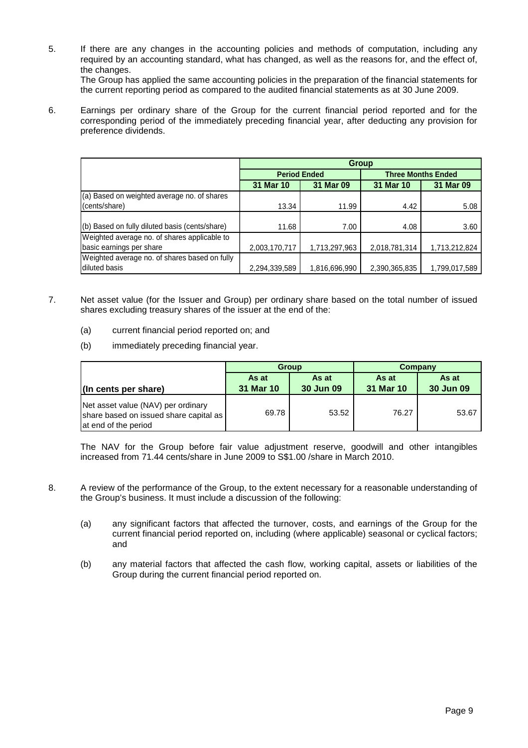5. If there are any changes in the accounting policies and methods of computation, including any required by an accounting standard, what has changed, as well as the reasons for, and the effect of, the changes.

 The Group has applied the same accounting policies in the preparation of the financial statements for the current reporting period as compared to the audited financial statements as at 30 June 2009.

6. Earnings per ordinary share of the Group for the current financial period reported and for the corresponding period of the immediately preceding financial year, after deducting any provision for preference dividends.

|                                                | <b>Group</b>                                     |                     |               |                           |  |  |
|------------------------------------------------|--------------------------------------------------|---------------------|---------------|---------------------------|--|--|
|                                                |                                                  | <b>Period Ended</b> |               | <b>Three Months Ended</b> |  |  |
|                                                | 31 Mar 09<br>31 Mar 10<br>31 Mar 09<br>31 Mar 10 |                     |               |                           |  |  |
| (a) Based on weighted average no. of shares    |                                                  |                     |               |                           |  |  |
| (cents/share)                                  | 13.34                                            | 11.99               | 4.42          | 5.08                      |  |  |
|                                                |                                                  |                     |               |                           |  |  |
| (b) Based on fully diluted basis (cents/share) | 11.68                                            | 7.00                | 4.08          | 3.60                      |  |  |
| Weighted average no. of shares applicable to   |                                                  |                     |               |                           |  |  |
| basic earnings per share                       | 2,003,170,717                                    | 1,713,297,963       | 2,018,781,314 | 1,713,212,824             |  |  |
| Weighted average no. of shares based on fully  |                                                  |                     |               |                           |  |  |
| diluted basis                                  | 2,294,339,589                                    | 1,816,696,990       | 2,390,365,835 | 1,799,017,589             |  |  |

- 7. Net asset value (for the Issuer and Group) per ordinary share based on the total number of issued shares excluding treasury shares of the issuer at the end of the:
	- (a) current financial period reported on; and
	- (b) immediately preceding financial year.

|                                                                                                      |           | <b>Group</b> | Company   |           |  |
|------------------------------------------------------------------------------------------------------|-----------|--------------|-----------|-----------|--|
|                                                                                                      | As at     | As at        | As at     | As at     |  |
| (In cents per share)                                                                                 | 31 Mar 10 | 30 Jun 09    | 31 Mar 10 | 30 Jun 09 |  |
| Net asset value (NAV) per ordinary<br>share based on issued share capital as<br>at end of the period | 69.78     | 53.52        | 76.27     | 53.67     |  |

The NAV for the Group before fair value adjustment reserve, goodwill and other intangibles increased from 71.44 cents/share in June 2009 to S\$1.00 /share in March 2010.

- 8. A review of the performance of the Group, to the extent necessary for a reasonable understanding of the Group's business. It must include a discussion of the following:
	- (a) any significant factors that affected the turnover, costs, and earnings of the Group for the current financial period reported on, including (where applicable) seasonal or cyclical factors; and
	- (b) any material factors that affected the cash flow, working capital, assets or liabilities of the Group during the current financial period reported on.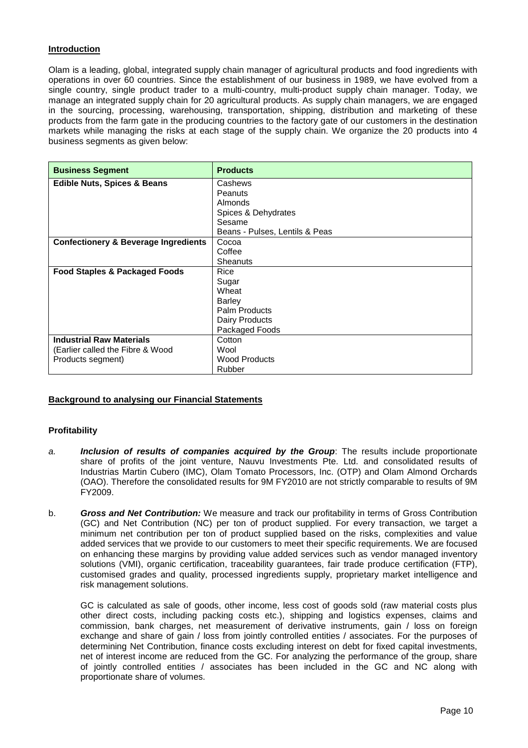# **Introduction**

Olam is a leading, global, integrated supply chain manager of agricultural products and food ingredients with operations in over 60 countries. Since the establishment of our business in 1989, we have evolved from a single country, single product trader to a multi-country, multi-product supply chain manager. Today, we manage an integrated supply chain for 20 agricultural products. As supply chain managers, we are engaged in the sourcing, processing, warehousing, transportation, shipping, distribution and marketing of these products from the farm gate in the producing countries to the factory gate of our customers in the destination markets while managing the risks at each stage of the supply chain. We organize the 20 products into 4 business segments as given below:

| <b>Business Segment</b>                         | <b>Products</b>                |
|-------------------------------------------------|--------------------------------|
| <b>Edible Nuts, Spices &amp; Beans</b>          | Cashews                        |
|                                                 | Peanuts                        |
|                                                 | Almonds                        |
|                                                 | Spices & Dehydrates            |
|                                                 | Sesame                         |
|                                                 | Beans - Pulses, Lentils & Peas |
| <b>Confectionery &amp; Beverage Ingredients</b> | Cocoa                          |
|                                                 | Coffee                         |
|                                                 | Sheanuts                       |
| <b>Food Staples &amp; Packaged Foods</b>        | Rice                           |
|                                                 | Sugar                          |
|                                                 | Wheat                          |
|                                                 | <b>Barley</b>                  |
|                                                 | <b>Palm Products</b>           |
|                                                 | Dairy Products                 |
|                                                 | Packaged Foods                 |
| <b>Industrial Raw Materials</b>                 | Cotton                         |
| (Earlier called the Fibre & Wood                | Wool                           |
| Products segment)                               | <b>Wood Products</b>           |
|                                                 | Rubber                         |

# **Background to analysing our Financial Statements**

### **Profitability**

- a. **Inclusion of results of companies acquired by the Group**: The results include proportionate share of profits of the joint venture, Nauvu Investments Pte. Ltd. and consolidated results of Industrias Martin Cubero (IMC), Olam Tomato Processors, Inc. (OTP) and Olam Almond Orchards (OAO). Therefore the consolidated results for 9M FY2010 are not strictly comparable to results of 9M FY2009.
- b. **Gross and Net Contribution:** We measure and track our profitability in terms of Gross Contribution (GC) and Net Contribution (NC) per ton of product supplied. For every transaction, we target a minimum net contribution per ton of product supplied based on the risks, complexities and value added services that we provide to our customers to meet their specific requirements. We are focused on enhancing these margins by providing value added services such as vendor managed inventory solutions (VMI), organic certification, traceability guarantees, fair trade produce certification (FTP), customised grades and quality, processed ingredients supply, proprietary market intelligence and risk management solutions.

GC is calculated as sale of goods, other income, less cost of goods sold (raw material costs plus other direct costs, including packing costs etc.), shipping and logistics expenses, claims and commission, bank charges, net measurement of derivative instruments, gain / loss on foreign exchange and share of gain / loss from jointly controlled entities / associates. For the purposes of determining Net Contribution, finance costs excluding interest on debt for fixed capital investments, net of interest income are reduced from the GC. For analyzing the performance of the group, share of jointly controlled entities / associates has been included in the GC and NC along with proportionate share of volumes.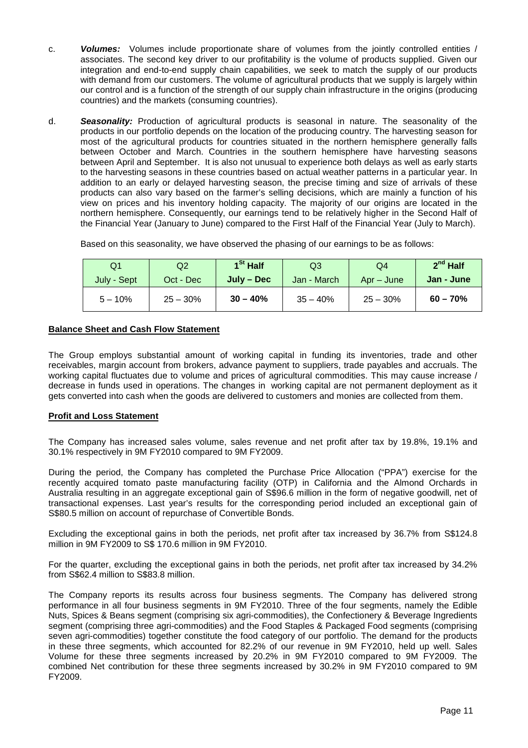- c. **Volumes:** Volumes include proportionate share of volumes from the jointly controlled entities / associates. The second key driver to our profitability is the volume of products supplied. Given our integration and end-to-end supply chain capabilities, we seek to match the supply of our products with demand from our customers. The volume of agricultural products that we supply is largely within our control and is a function of the strength of our supply chain infrastructure in the origins (producing countries) and the markets (consuming countries).
- d. **Seasonality:** Production of agricultural products is seasonal in nature. The seasonality of the products in our portfolio depends on the location of the producing country. The harvesting season for most of the agricultural products for countries situated in the northern hemisphere generally falls between October and March. Countries in the southern hemisphere have harvesting seasons between April and September. It is also not unusual to experience both delays as well as early starts to the harvesting seasons in these countries based on actual weather patterns in a particular year. In addition to an early or delayed harvesting season, the precise timing and size of arrivals of these products can also vary based on the farmer's selling decisions, which are mainly a function of his view on prices and his inventory holding capacity. The majority of our origins are located in the northern hemisphere. Consequently, our earnings tend to be relatively higher in the Second Half of the Financial Year (January to June) compared to the First Half of the Financial Year (July to March).

| Q1          | Q2         | $1St$ Half   | Q3          | Q4          | $2nd$ Half |
|-------------|------------|--------------|-------------|-------------|------------|
| July - Sept | Oct - Dec  | $July - Dec$ | Jan - March | $Ar - June$ | Jan - June |
| $5 - 10\%$  | $25 - 30%$ | $30 - 40%$   | $35 - 40%$  | $25 - 30%$  | $60 - 70%$ |

### **Balance Sheet and Cash Flow Statement**

The Group employs substantial amount of working capital in funding its inventories, trade and other receivables, margin account from brokers, advance payment to suppliers, trade payables and accruals. The working capital fluctuates due to volume and prices of agricultural commodities. This may cause increase / decrease in funds used in operations. The changes in working capital are not permanent deployment as it gets converted into cash when the goods are delivered to customers and monies are collected from them.

# **Profit and Loss Statement**

The Company has increased sales volume, sales revenue and net profit after tax by 19.8%, 19.1% and 30.1% respectively in 9M FY2010 compared to 9M FY2009.

During the period, the Company has completed the Purchase Price Allocation ("PPA") exercise for the recently acquired tomato paste manufacturing facility (OTP) in California and the Almond Orchards in Australia resulting in an aggregate exceptional gain of S\$96.6 million in the form of negative goodwill, net of transactional expenses. Last year's results for the corresponding period included an exceptional gain of S\$80.5 million on account of repurchase of Convertible Bonds.

Excluding the exceptional gains in both the periods, net profit after tax increased by 36.7% from S\$124.8 million in 9M FY2009 to S\$ 170.6 million in 9M FY2010.

For the quarter, excluding the exceptional gains in both the periods, net profit after tax increased by 34.2% from S\$62.4 million to S\$83.8 million.

The Company reports its results across four business segments. The Company has delivered strong performance in all four business segments in 9M FY2010. Three of the four segments, namely the Edible Nuts, Spices & Beans segment (comprising six agri-commodities), the Confectionery & Beverage Ingredients segment (comprising three agri-commodities) and the Food Staples & Packaged Food segments (comprising seven agri-commodities) together constitute the food category of our portfolio. The demand for the products in these three segments, which accounted for 82.2% of our revenue in 9M FY2010, held up well. Sales Volume for these three segments increased by 20.2% in 9M FY2010 compared to 9M FY2009. The combined Net contribution for these three segments increased by 30.2% in 9M FY2010 compared to 9M FY2009.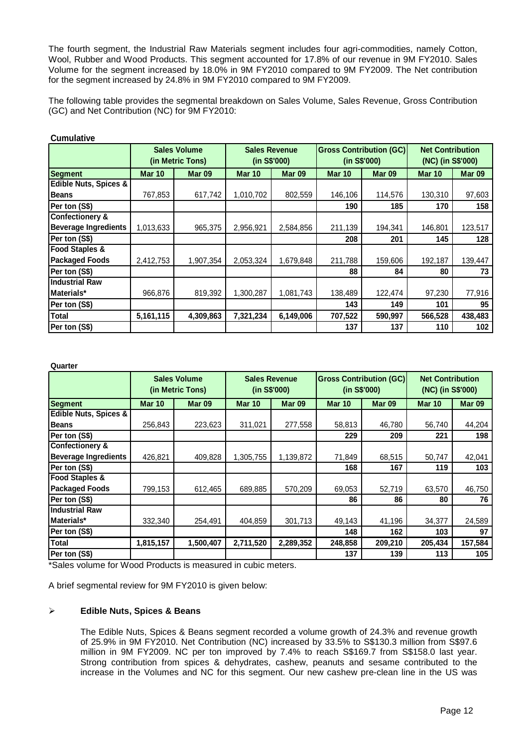The fourth segment, the Industrial Raw Materials segment includes four agri-commodities, namely Cotton, Wool, Rubber and Wood Products. This segment accounted for 17.8% of our revenue in 9M FY2010. Sales Volume for the segment increased by 18.0% in 9M FY2010 compared to 9M FY2009. The Net contribution for the segment increased by 24.8% in 9M FY2010 compared to 9M FY2009.

The following table provides the segmental breakdown on Sales Volume, Sales Revenue, Gross Contribution (GC) and Net Contribution (NC) for 9M FY2010:

|                                  |               | <b>Gross Contribution (GC)</b><br><b>Sales Revenue</b><br><b>Sales Volume</b><br>(in S\$'000)<br>(in S\$'000)<br>(in Metric Tons) |               | <b>Net Contribution</b><br>(NC) (in S\$'000) |               |               |               |                   |
|----------------------------------|---------------|-----------------------------------------------------------------------------------------------------------------------------------|---------------|----------------------------------------------|---------------|---------------|---------------|-------------------|
| Segment                          | <b>Mar 10</b> | Mar <sub>09</sub>                                                                                                                 | <b>Mar 10</b> | <b>Mar 09</b>                                | <b>Mar 10</b> | <b>Mar 09</b> | <b>Mar 10</b> | Mar <sub>09</sub> |
| <b>Edible Nuts, Spices &amp;</b> |               |                                                                                                                                   |               |                                              |               |               |               |                   |
| <b>Beans</b>                     | 767,853       | 617,742                                                                                                                           | 1,010,702     | 802,559                                      | 146,106       | 114,576       | 130,310       | 97,603            |
| Per ton (S\$)                    |               |                                                                                                                                   |               |                                              | 190           | 185           | 170           | 158               |
| Confectionery &                  |               |                                                                                                                                   |               |                                              |               |               |               |                   |
| <b>Beverage Ingredients</b>      | 1,013,633     | 965,375                                                                                                                           | 2,956,921     | 2,584,856                                    | 211,139       | 194,341       | 146,801       | 123,517           |
| Per ton (S\$)                    |               |                                                                                                                                   |               |                                              | 208           | 201           | 145           | 128               |
| <b>Food Staples &amp;</b>        |               |                                                                                                                                   |               |                                              |               |               |               |                   |
| <b>Packaged Foods</b>            | 2,412,753     | 1,907,354                                                                                                                         | 2,053,324     | 1,679,848                                    | 211,788       | 159,606       | 192,187       | 139,447           |
| Per ton (S\$)                    |               |                                                                                                                                   |               |                                              | 88            | 84            | 80            | 73                |
| <b>Industrial Raw</b>            |               |                                                                                                                                   |               |                                              |               |               |               |                   |
| Materials*                       | 966,876       | 819,392                                                                                                                           | 1,300,287     | 1,081,743                                    | 138,489       | 122,474       | 97,230        | 77,916            |
| Per ton (S\$)                    |               |                                                                                                                                   |               |                                              | 143           | 149           | 101           | 95                |
| Total                            | 5,161,115     | 4,309,863                                                                                                                         | 7,321,234     | 6,149,006                                    | 707,522       | 590,997       | 566,528       | 438,483           |
| Per ton (S\$)                    |               |                                                                                                                                   |               |                                              | 137           | 137           | 110           | 102               |

### **Cumulative**

**Quarter**

|                                  |               | <b>Sales Volume</b><br>(in Metric Tons) | <b>Sales Revenue</b><br>(in S\$'000) |               | <b>Gross Contribution (GC)</b><br>(in S\$'000) |               | <b>Net Contribution</b><br>(NC) (in S\$'000) |               |
|----------------------------------|---------------|-----------------------------------------|--------------------------------------|---------------|------------------------------------------------|---------------|----------------------------------------------|---------------|
| <b>Segment</b>                   | <b>Mar 10</b> | <b>Mar 09</b>                           | <b>Mar 10</b>                        | <b>Mar 09</b> | <b>Mar 10</b>                                  | <b>Mar 09</b> | <b>Mar 10</b>                                | <b>Mar 09</b> |
| <b>Edible Nuts, Spices &amp;</b> |               |                                         |                                      |               |                                                |               |                                              |               |
| <b>Beans</b>                     | 256,843       | 223,623                                 | 311,021                              | 277,558       | 58,813                                         | 46,780        | 56,740                                       | 44,204        |
| Per ton (S\$)                    |               |                                         |                                      |               | 229                                            | 209           | 221                                          | 198           |
| <b>Confectionery &amp;</b>       |               |                                         |                                      |               |                                                |               |                                              |               |
| <b>Beverage Ingredients</b>      | 426,821       | 409,828                                 | 1,305,755                            | 1,139,872     | 71,849                                         | 68,515        | 50,747                                       | 42,041        |
| Per ton (S\$)                    |               |                                         |                                      |               | 168                                            | 167           | 119                                          | 103           |
| <b>Food Staples &amp;</b>        |               |                                         |                                      |               |                                                |               |                                              |               |
| <b>Packaged Foods</b>            | 799,153       | 612,465                                 | 689.885                              | 570,209       | 69,053                                         | 52,719        | 63,570                                       | 46,750        |
| Per ton (S\$)                    |               |                                         |                                      |               | 86                                             | 86            | 80                                           | 76            |
| <b>Industrial Raw</b>            |               |                                         |                                      |               |                                                |               |                                              |               |
| Materials*                       | 332,340       | 254,491                                 | 404,859                              | 301,713       | 49,143                                         | 41,196        | 34,377                                       | 24,589        |
| Per ton (S\$)                    |               |                                         |                                      |               | 148                                            | 162           | 103                                          | 97            |
| Total                            | 1,815,157     | 1,500,407                               | 2,711,520                            | 2,289,352     | 248,858                                        | 209,210       | 205,434                                      | 157,584       |
| Per ton (S\$)                    |               |                                         |                                      |               | 137                                            | 139           | 113                                          | 105           |

\*Sales volume for Wood Products is measured in cubic meters.

A brief segmental review for 9M FY2010 is given below:

### **Edible Nuts, Spices & Beans**

The Edible Nuts, Spices & Beans segment recorded a volume growth of 24.3% and revenue growth of 25.9% in 9M FY2010. Net Contribution (NC) increased by 33.5% to S\$130.3 million from S\$97.6 million in 9M FY2009. NC per ton improved by 7.4% to reach S\$169.7 from S\$158.0 last year. Strong contribution from spices & dehydrates, cashew, peanuts and sesame contributed to the increase in the Volumes and NC for this segment. Our new cashew pre-clean line in the US was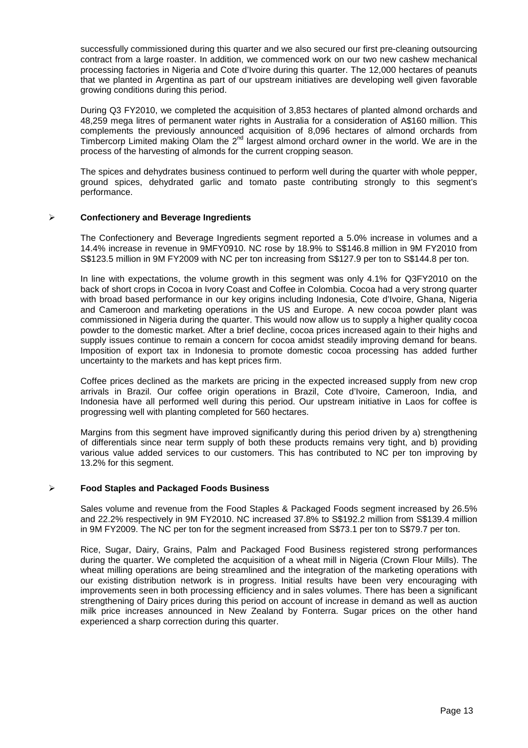successfully commissioned during this quarter and we also secured our first pre-cleaning outsourcing contract from a large roaster. In addition, we commenced work on our two new cashew mechanical processing factories in Nigeria and Cote d'Ivoire during this quarter. The 12,000 hectares of peanuts that we planted in Argentina as part of our upstream initiatives are developing well given favorable growing conditions during this period.

During Q3 FY2010, we completed the acquisition of 3,853 hectares of planted almond orchards and 48,259 mega litres of permanent water rights in Australia for a consideration of A\$160 million. This complements the previously announced acquisition of 8,096 hectares of almond orchards from Timbercorp Limited making Olam the  $2^{nd}$  largest almond orchard owner in the world. We are in the process of the harvesting of almonds for the current cropping season.

The spices and dehydrates business continued to perform well during the quarter with whole pepper, ground spices, dehydrated garlic and tomato paste contributing strongly to this segment's performance.

### **Confectionery and Beverage Ingredients**

The Confectionery and Beverage Ingredients segment reported a 5.0% increase in volumes and a 14.4% increase in revenue in 9MFY0910. NC rose by 18.9% to S\$146.8 million in 9M FY2010 from S\$123.5 million in 9M FY2009 with NC per ton increasing from S\$127.9 per ton to S\$144.8 per ton.

In line with expectations, the volume growth in this segment was only 4.1% for Q3FY2010 on the back of short crops in Cocoa in Ivory Coast and Coffee in Colombia. Cocoa had a very strong quarter with broad based performance in our key origins including Indonesia, Cote d'Ivoire, Ghana, Nigeria and Cameroon and marketing operations in the US and Europe. A new cocoa powder plant was commissioned in Nigeria during the quarter. This would now allow us to supply a higher quality cocoa powder to the domestic market. After a brief decline, cocoa prices increased again to their highs and supply issues continue to remain a concern for cocoa amidst steadily improving demand for beans. Imposition of export tax in Indonesia to promote domestic cocoa processing has added further uncertainty to the markets and has kept prices firm.

Coffee prices declined as the markets are pricing in the expected increased supply from new crop arrivals in Brazil. Our coffee origin operations in Brazil, Cote d'Ivoire, Cameroon, India, and Indonesia have all performed well during this period. Our upstream initiative in Laos for coffee is progressing well with planting completed for 560 hectares.

Margins from this segment have improved significantly during this period driven by a) strengthening of differentials since near term supply of both these products remains very tight, and b) providing various value added services to our customers. This has contributed to NC per ton improving by 13.2% for this segment.

# **Food Staples and Packaged Foods Business**

Sales volume and revenue from the Food Staples & Packaged Foods segment increased by 26.5% and 22.2% respectively in 9M FY2010. NC increased 37.8% to S\$192.2 million from S\$139.4 million in 9M FY2009. The NC per ton for the segment increased from S\$73.1 per ton to S\$79.7 per ton.

Rice, Sugar, Dairy, Grains, Palm and Packaged Food Business registered strong performances during the quarter. We completed the acquisition of a wheat mill in Nigeria (Crown Flour Mills). The wheat milling operations are being streamlined and the integration of the marketing operations with our existing distribution network is in progress. Initial results have been very encouraging with improvements seen in both processing efficiency and in sales volumes. There has been a significant strengthening of Dairy prices during this period on account of increase in demand as well as auction milk price increases announced in New Zealand by Fonterra. Sugar prices on the other hand experienced a sharp correction during this quarter.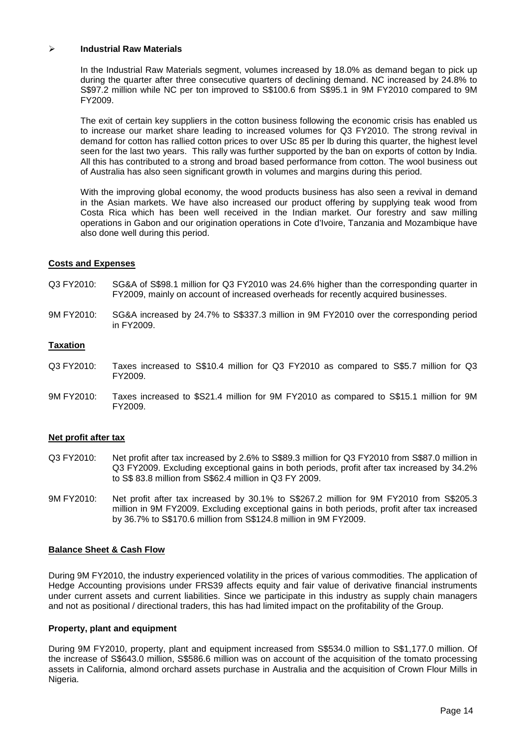### **Industrial Raw Materials**

In the Industrial Raw Materials segment, volumes increased by 18.0% as demand began to pick up during the quarter after three consecutive quarters of declining demand. NC increased by 24.8% to S\$97.2 million while NC per ton improved to S\$100.6 from S\$95.1 in 9M FY2010 compared to 9M FY2009.

The exit of certain key suppliers in the cotton business following the economic crisis has enabled us to increase our market share leading to increased volumes for Q3 FY2010. The strong revival in demand for cotton has rallied cotton prices to over USc 85 per lb during this quarter, the highest level seen for the last two years. This rally was further supported by the ban on exports of cotton by India. All this has contributed to a strong and broad based performance from cotton. The wool business out of Australia has also seen significant growth in volumes and margins during this period.

With the improving global economy, the wood products business has also seen a revival in demand in the Asian markets. We have also increased our product offering by supplying teak wood from Costa Rica which has been well received in the Indian market. Our forestry and saw milling operations in Gabon and our origination operations in Cote d'Ivoire, Tanzania and Mozambique have also done well during this period.

### **Costs and Expenses**

- Q3 FY2010: SG&A of S\$98.1 million for Q3 FY2010 was 24.6% higher than the corresponding quarter in FY2009, mainly on account of increased overheads for recently acquired businesses.
- 9M FY2010: SG&A increased by 24.7% to S\$337.3 million in 9M FY2010 over the corresponding period in FY2009.

# **Taxation**

- Q3 FY2010: Taxes increased to S\$10.4 million for Q3 FY2010 as compared to S\$5.7 million for Q3 FY2009.
- 9M FY2010: Taxes increased to \$S21.4 million for 9M FY2010 as compared to S\$15.1 million for 9M FY2009.

### **Net profit after tax**

- Q3 FY2010: Net profit after tax increased by 2.6% to S\$89.3 million for Q3 FY2010 from S\$87.0 million in Q3 FY2009. Excluding exceptional gains in both periods, profit after tax increased by 34.2% to S\$ 83.8 million from S\$62.4 million in Q3 FY 2009.
- 9M FY2010: Net profit after tax increased by 30.1% to S\$267.2 million for 9M FY2010 from S\$205.3 million in 9M FY2009. Excluding exceptional gains in both periods, profit after tax increased by 36.7% to S\$170.6 million from S\$124.8 million in 9M FY2009.

### **Balance Sheet & Cash Flow**

During 9M FY2010, the industry experienced volatility in the prices of various commodities. The application of Hedge Accounting provisions under FRS39 affects equity and fair value of derivative financial instruments under current assets and current liabilities. Since we participate in this industry as supply chain managers and not as positional / directional traders, this has had limited impact on the profitability of the Group.

### **Property, plant and equipment**

During 9M FY2010, property, plant and equipment increased from S\$534.0 million to S\$1,177.0 million. Of the increase of S\$643.0 million, S\$586.6 million was on account of the acquisition of the tomato processing assets in California, almond orchard assets purchase in Australia and the acquisition of Crown Flour Mills in Nigeria.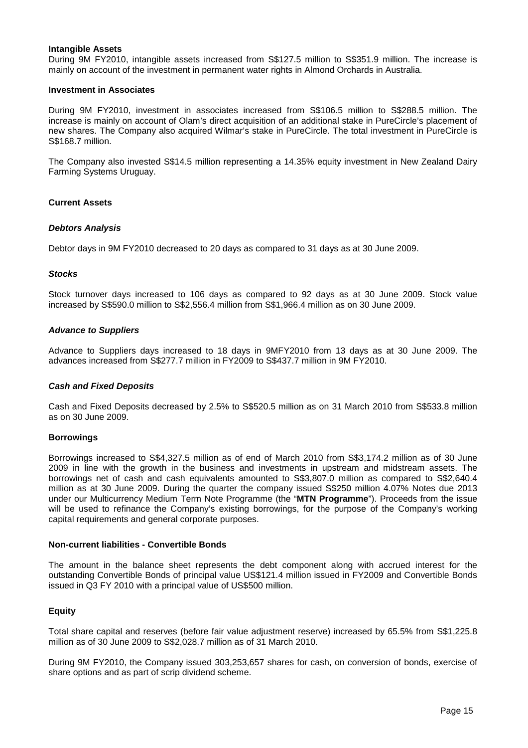### **Intangible Assets**

During 9M FY2010, intangible assets increased from S\$127.5 million to S\$351.9 million. The increase is mainly on account of the investment in permanent water rights in Almond Orchards in Australia.

### **Investment in Associates**

During 9M FY2010, investment in associates increased from S\$106.5 million to S\$288.5 million. The increase is mainly on account of Olam's direct acquisition of an additional stake in PureCircle's placement of new shares. The Company also acquired Wilmar's stake in PureCircle. The total investment in PureCircle is S\$168.7 million.

The Company also invested S\$14.5 million representing a 14.35% equity investment in New Zealand Dairy Farming Systems Uruguay.

### **Current Assets**

### **Debtors Analysis**

Debtor days in 9M FY2010 decreased to 20 days as compared to 31 days as at 30 June 2009.

### **Stocks**

Stock turnover days increased to 106 days as compared to 92 days as at 30 June 2009. Stock value increased by S\$590.0 million to S\$2,556.4 million from S\$1,966.4 million as on 30 June 2009.

### **Advance to Suppliers**

Advance to Suppliers days increased to 18 days in 9MFY2010 from 13 days as at 30 June 2009. The advances increased from S\$277.7 million in FY2009 to S\$437.7 million in 9M FY2010.

### **Cash and Fixed Deposits**

Cash and Fixed Deposits decreased by 2.5% to S\$520.5 million as on 31 March 2010 from S\$533.8 million as on 30 June 2009.

#### **Borrowings**

Borrowings increased to S\$4,327.5 million as of end of March 2010 from S\$3,174.2 million as of 30 June 2009 in line with the growth in the business and investments in upstream and midstream assets. The borrowings net of cash and cash equivalents amounted to S\$3,807.0 million as compared to S\$2,640.4 million as at 30 June 2009. During the quarter the company issued S\$250 million 4.07% Notes due 2013 under our Multicurrency Medium Term Note Programme (the "**MTN Programme**"). Proceeds from the issue will be used to refinance the Company's existing borrowings, for the purpose of the Company's working capital requirements and general corporate purposes.

## **Non-current liabilities - Convertible Bonds**

The amount in the balance sheet represents the debt component along with accrued interest for the outstanding Convertible Bonds of principal value US\$121.4 million issued in FY2009 and Convertible Bonds issued in Q3 FY 2010 with a principal value of US\$500 million.

### **Equity**

Total share capital and reserves (before fair value adjustment reserve) increased by 65.5% from S\$1,225.8 million as of 30 June 2009 to S\$2,028.7 million as of 31 March 2010.

During 9M FY2010, the Company issued 303,253,657 shares for cash, on conversion of bonds, exercise of share options and as part of scrip dividend scheme.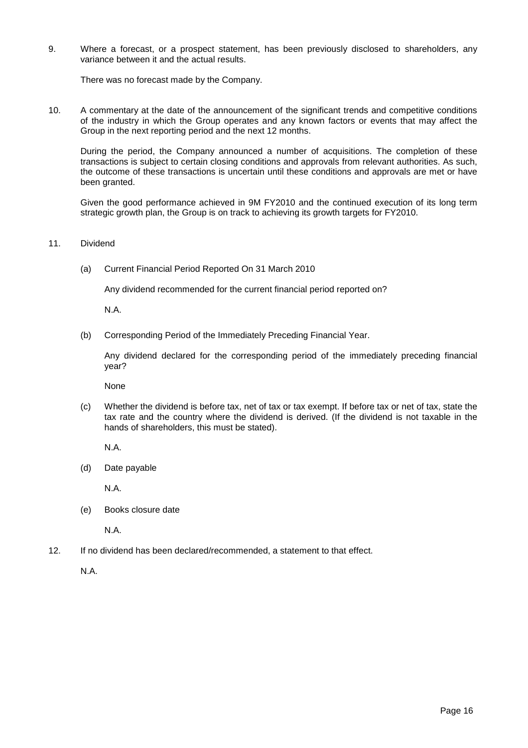9. Where a forecast, or a prospect statement, has been previously disclosed to shareholders, any variance between it and the actual results.

There was no forecast made by the Company.

10. A commentary at the date of the announcement of the significant trends and competitive conditions of the industry in which the Group operates and any known factors or events that may affect the Group in the next reporting period and the next 12 months.

During the period, the Company announced a number of acquisitions. The completion of these transactions is subject to certain closing conditions and approvals from relevant authorities. As such, the outcome of these transactions is uncertain until these conditions and approvals are met or have been granted.

Given the good performance achieved in 9M FY2010 and the continued execution of its long term strategic growth plan, the Group is on track to achieving its growth targets for FY2010.

11. Dividend

(a) Current Financial Period Reported On 31 March 2010

Any dividend recommended for the current financial period reported on?

N.A.

(b) Corresponding Period of the Immediately Preceding Financial Year.

Any dividend declared for the corresponding period of the immediately preceding financial year?

None

(c) Whether the dividend is before tax, net of tax or tax exempt. If before tax or net of tax, state the tax rate and the country where the dividend is derived. (If the dividend is not taxable in the hands of shareholders, this must be stated).

N.A.

(d) Date payable

N.A.

(e) Books closure date

N.A.

12. If no dividend has been declared/recommended, a statement to that effect.

N.A.